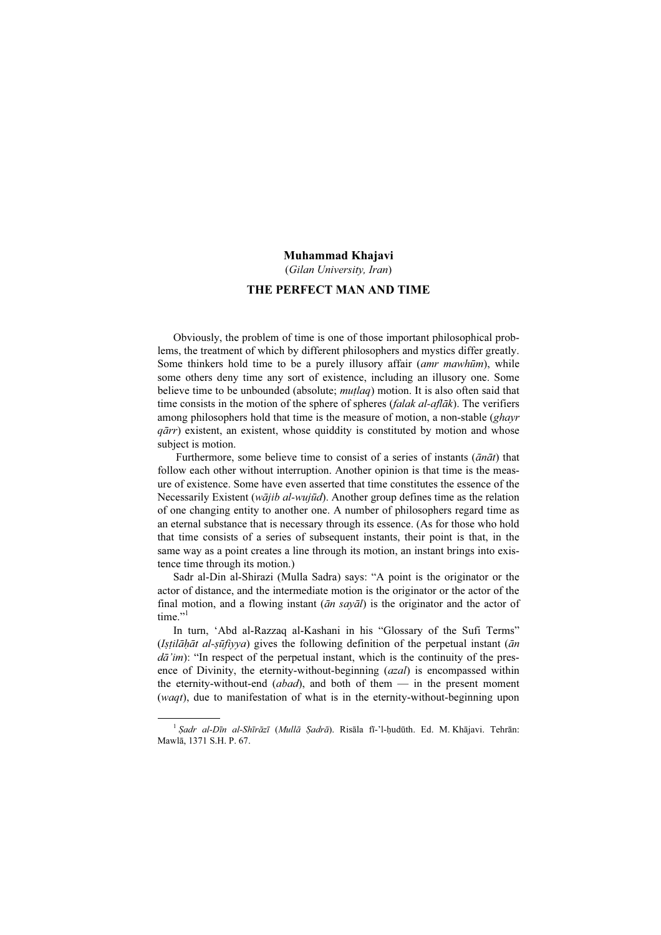## Muhammad Khajavi

(Gilan University, Iran)

## THE PERFECT MAN AND TIME

Obviously, the problem of time is one of those important philosophical problems, the treatment of which by different philosophers and mystics differ greatly. Some thinkers hold time to be a purely illusory affair (amr mawhūm), while some others deny time any sort of existence, including an illusory one. Some believe time to be unbounded (absolute; *mutlaq*) motion. It is also often said that time consists in the motion of the sphere of spheres *(falak al-aflāk)*. The verifiers among philosophers hold that time is the measure of motion, a non-stable (*ghayr*  $q\bar{a}rr$ ) existent, an existent, whose quiddity is constituted by motion and whose subject is motion.

Furthermore, some believe time to consist of a series of instants  $(\bar{a}n\bar{a}t)$  that follow each other without interruption. Another opinion is that time is the measure of existence. Some have even asserted that time constitutes the essence of the Necessarily Existent (*wājib al-wujūd*). Another group defines time as the relation of one changing entity to another one. A number of philosophers regard time as an eternal substance that is necessary through its essence. (As for those who hold that time consists of a series of subsequent instants, their point is that, in the same way as a point creates a line through its motion, an instant brings into existence time through its motion.)

Sadr al-Din al-Shirazi (Mulla Sadra) says: "A point is the originator or the actor of distance, and the intermediate motion is the originator or the actor of the final motion, and a flowing instant  $(\bar{a}n sav\bar{a}l)$  is the originator and the actor of time."

In turn, 'Abd al-Razzaq al-Kashani in his "Glossary of the Sufi Terms"  $(Istilāhāt al-sūfivva)$  gives the following definition of the perpetual instant ( $\bar{a}n$ )  $d\bar{a'}$  im): "In respect of the perpetual instant, which is the continuity of the presence of Divinity, the eternity-without-beginning *(azal)* is encompassed within the eternity-without-end (abad), and both of them  $-$  in the present moment (*waat*), due to manifestation of what is in the eternity-without-beginning upon

<sup>&</sup>lt;sup>1</sup> Şadr al-Dīn al-Shīrāzī (Mullā Sadrā). Risāla fī-'l-ḥudūth. Ed. M. Khājavi. Tehrān: Mawlā, 1371 S.H. P. 67.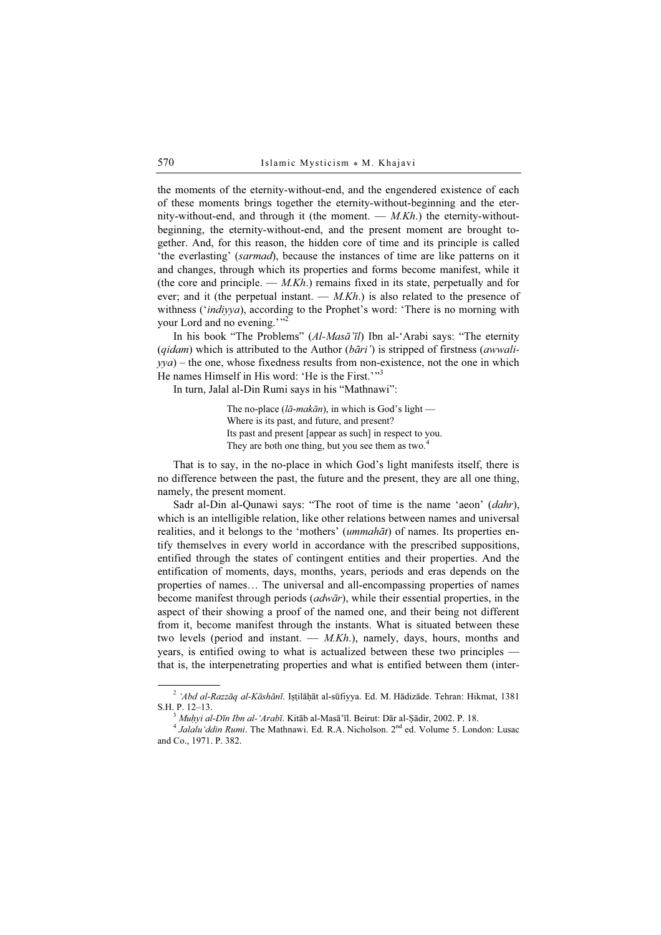the moments of the eternity-without-end, and the engendered existence of each of these moments brings together the eternity-without-beginning and the eternity-without-end, and through it (the moment.  $-M.Kh$ .) the eternity-withoutbeginning, the eternity-without-end, and the present moment are brought together. And, for this reason, the hidden core of time and its principle is called 'the everlasting' (sarmad), because the instances of time are like patterns on it and changes, through which its properties and forms become manifest, while it (the core and principle.  $-M.Kh$ .) remains fixed in its state, perpetually and for ever; and it (the perpetual instant.  $- M.Kh$ .) is also related to the presence of withness ('indiyya), according to the Prophet's word: 'There is no morning with your Lord and no evening."

In his book "The Problems" (Al-Masā'īl) Ibn al-'Arabi says: "The eternity (qidam) which is attributed to the Author ( $b\bar{a}ri$ ) is stripped of firstness (awwali $yya$ ) – the one, whose fixedness results from non-existence, not the one in which He names Himself in His word: 'He is the First.'"<sup>3</sup>

In turn, Jalal al-Din Rumi says in his "Mathnawi":

The no-place ( $l\bar{a}$ -makān), in which is God's light — Where is its past, and future, and present? Its past and present [appear as such] in respect to you. They are both one thing, but you see them as two.<sup>4</sup>

That is to say, in the no-place in which God's light manifests itself, there is no difference between the past, the future and the present, they are all one thing, namely, the present moment.

Sadr al-Din al-Qunawi says: "The root of time is the name 'aeon' (dahr), which is an intelligible relation, like other relations between names and universal realities, and it belongs to the 'mothers' (ummahāt) of names. Its properties entify themselves in every world in accordance with the prescribed suppositions, entified through the states of contingent entities and their properties. And the entification of moments, days, months, years, periods and eras depends on the properties of names… The universal and all-encompassing properties of names become manifest through periods (adwār), while their essential properties, in the aspect of their showing a proof of the named one, and their being not different from it, become manifest through the instants. What is situated between these two levels (period and instant.  $- M.Kh$ .), namely, days, hours, months and years, is entified owing to what is actualized between these two principles that is, the interpenetrating properties and what is entified between them (inter-

 $2$  'Abd al-Razzāq al-Kāshānī. Iṣṭilāḥāt al-sūfiyya. Ed. M. Hādizāde. Tehran: Hikmat, 1381 S.H. P. 12–13.<br><sup>3</sup> Muḥyi al-Dīn Ibn al-'Arabī. Kitāb al-Masā'īl. Beirut: Dār al-Ṣādir, 2002. P. 18.<br><sup>4</sup> Jalalu'ddin Rumi. The Mathnawi. Ed. R.A. Nicholson. 2<sup>nd</sup> ed. Volume 5. London: Lusac

and Co., 1971. P. 382.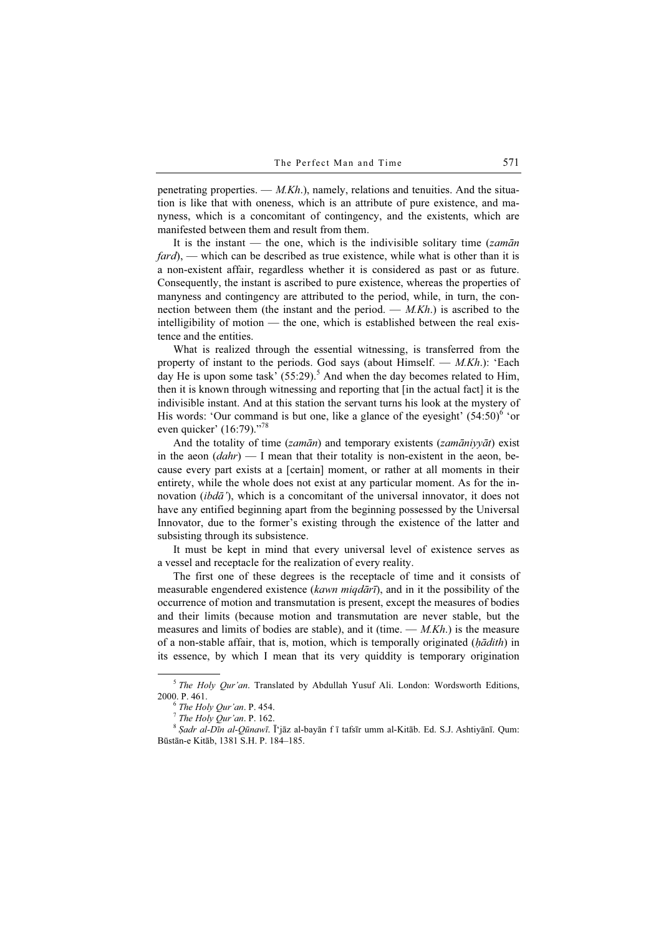penetrating properties.  $-M.Kh$ .), namely, relations and tenuities. And the situation is like that with oneness, which is an attribute of pure existence, and manyness, which is a concomitant of contingency, and the existents, which are manifested between them and result from them.

It is the instant — the one, which is the indivisible solitary time  $(zam\bar{a}n)$  $fard$ , — which can be described as true existence, while what is other than it is a non-existent affair, regardless whether it is considered as past or as future. Consequently, the instant is ascribed to pure existence, whereas the properties of manyness and contingency are attributed to the period, while, in turn, the connection between them (the instant and the period.  $-M.Kh$ .) is ascribed to the intelligibility of motion — the one, which is established between the real existence and the entities.

What is realized through the essential witnessing, is transferred from the property of instant to the periods. God says (about Himself.  $- M.Kh.$ ): 'Each day He is upon some task'  $(55:29)$ .<sup>5</sup> And when the day becomes related to Him, then it is known through witnessing and reporting that [in the actual fact] it is the indivisible instant. And at this station the servant turns his look at the mystery of His words: 'Our command is but one, like a glance of the eyesight'  $(54.50)^6$  'or even quicker'  $(16:79)$ ."<sup>78</sup>

And the totality of time (*zamān*) and temporary existents (*zamāniyyāt*) exist in the aeon  $(dahr)$  — I mean that their totality is non-existent in the aeon, because every part exists at a [certain] moment, or rather at all moments in their entirety, while the whole does not exist at any particular moment. As for the innovation (*ibda*'), which is a concomitant of the universal innovator, it does not have any entified beginning apart from the beginning possessed by the Universal Innovator, due to the former's existing through the existence of the latter and subsisting through its subsistence.

It must be kept in mind that every universal level of existence serves as a vessel and receptacle for the realization of every reality.

The first one of these degrees is the receptacle of time and it consists of measurable engendered existence (kawn miqdārī), and in it the possibility of the occurrence of motion and transmutation is present, except the measures of bodies and their limits (because motion and transmutation are never stable, but the measures and limits of bodies are stable), and it (time.  $-M.Kh$ .) is the measure of a non-stable affair, that is, motion, which is temporally originated (hadith) in its essence, by which I mean that its very quiddity is temporary origination

 $5$  The Holy Our'an. Translated by Abdullah Yusuf Ali. London: Wordsworth Editions, 2000. P. 461.<br>
<sup>6</sup> The Holy Qur'an. P. 454.<br>
<sup>7</sup> The Holy Qur'an. P. 162.<br>
<sup>8</sup> *Şadr al-Dīn al-Qūnawī*. Ī'jāz al-bayān f ī tafsīr umm al-Kitāb. Ed. S.J. Ashtiyānī. Qum:

Būstān-e Kitāb, 1381 S.H. P. 184–185.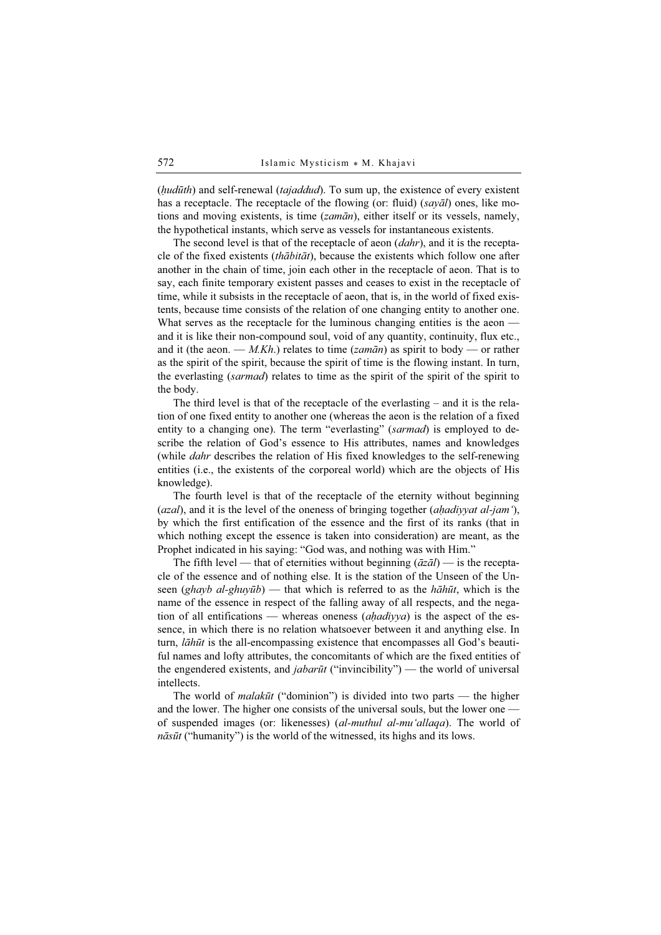(ḥudūth) and self-renewal (tajaddud). To sum up, the existence of every existent has a receptacle. The receptacle of the flowing (or: fluid) (sayal) ones, like motions and moving existents, is time (zamān), either itself or its vessels, namely, the hypothetical instants, which serve as vessels for instantaneous existents.

The second level is that of the receptacle of aeon (*dahr*), and it is the receptacle of the fixed existents (th $\bar{a}$ bit $\bar{a}$ t), because the existents which follow one after another in the chain of time, join each other in the receptacle of aeon. That is to say, each finite temporary existent passes and ceases to exist in the receptacle of time, while it subsists in the receptacle of aeon, that is, in the world of fixed existents, because time consists of the relation of one changing entity to another one. What serves as the receptacle for the luminous changing entities is the aeon and it is like their non-compound soul, void of any quantity, continuity, flux etc., and it (the aeon. — M.Kh.) relates to time ( $zam\bar{a}n$ ) as spirit to body — or rather as the spirit of the spirit, because the spirit of time is the flowing instant. In turn, the everlasting (sarmad) relates to time as the spirit of the spirit of the spirit to the body.

The third level is that of the receptacle of the everlasting – and it is the relation of one fixed entity to another one (whereas the aeon is the relation of a fixed entity to a changing one). The term "everlasting" (sarmad) is employed to describe the relation of God's essence to His attributes, names and knowledges (while dahr describes the relation of His fixed knowledges to the self-renewing entities (i.e., the existents of the corporeal world) which are the objects of His knowledge).

The fourth level is that of the receptacle of the eternity without beginning  $(azal)$ , and it is the level of the oneness of bringing together  $(ahadiyyat al-jam')$ , by which the first entification of the essence and the first of its ranks (that in which nothing except the essence is taken into consideration) are meant, as the Prophet indicated in his saying: "God was, and nothing was with Him."

The fifth level — that of eternities without beginning  $(\bar{a}z\bar{a}l)$  — is the receptacle of the essence and of nothing else. It is the station of the Unseen of the Unseen (ghayb al-ghuyūb) — that which is referred to as the hāhūt, which is the name of the essence in respect of the falling away of all respects, and the negation of all entifications — whereas oneness  $(ahadiyya)$  is the aspect of the essence, in which there is no relation whatsoever between it and anything else. In turn, *lāhūt* is the all-encompassing existence that encompasses all God's beautiful names and lofty attributes, the concomitants of which are the fixed entities of the engendered existents, and *jabarūt* ("invincibility") — the world of universal intellects.

The world of *malakūt* ("dominion") is divided into two parts — the higher and the lower. The higher one consists of the universal souls, but the lower one of suspended images (or: likenesses) (al-muthul al-mu'allaqa). The world of  $n\bar{a}s\bar{u}t$  ("humanity") is the world of the witnessed, its highs and its lows.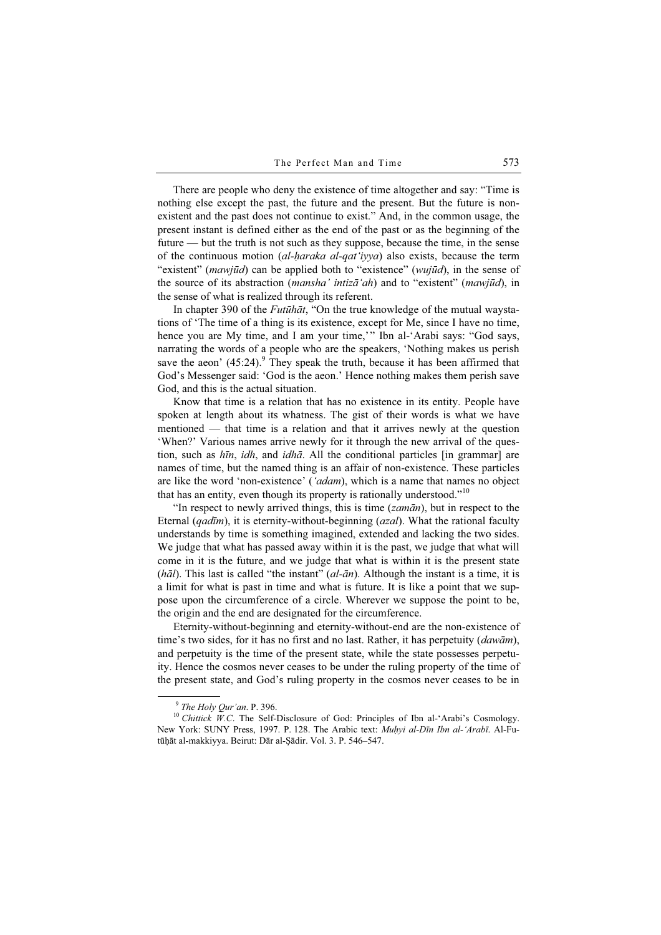There are people who deny the existence of time altogether and say: "Time is nothing else except the past, the future and the present. But the future is nonexistent and the past does not continue to exist." And, in the common usage, the present instant is defined either as the end of the past or as the beginning of the future — but the truth is not such as they suppose, because the time, in the sense of the continuous motion *(al-haraka al-qat'iyya)* also exists, because the term "existent" (*mawjūd*) can be applied both to "existence" (*wujūd*), in the sense of the source of its abstraction (*mansha' intiza'ah*) and to "existent" (*mawjūd*), in the sense of what is realized through its referent.

In chapter 390 of the *Futūhāt*, "On the true knowledge of the mutual waystations of 'The time of a thing is its existence, except for Me, since I have no time, hence you are My time, and I am your time,'" Ibn al-'Arabi says: "God says, narrating the words of a people who are the speakers, 'Nothing makes us perish save the aeon'  $(45:24)$ .<sup>9</sup> They speak the truth, because it has been affirmed that God's Messenger said: 'God is the aeon.' Hence nothing makes them perish save God, and this is the actual situation.

Know that time is a relation that has no existence in its entity. People have spoken at length about its whatness. The gist of their words is what we have mentioned — that time is a relation and that it arrives newly at the question 'When?' Various names arrive newly for it through the new arrival of the question, such as  $h\bar{u}n$ , *idh*, and *idhā*. All the conditional particles [in grammar] are names of time, but the named thing is an affair of non-existence. These particles are like the word 'non-existence' ('adam), which is a name that names no object that has an entity, even though its property is rationally understood."<sup>10</sup>

"In respect to newly arrived things, this is time  $(zam\bar{a}n)$ , but in respect to the Eternal (qadīm), it is eternity-without-beginning (azal). What the rational faculty understands by time is something imagined, extended and lacking the two sides. We judge that what has passed away within it is the past, we judge that what will come in it is the future, and we judge that what is within it is the present state  $(h\bar{a}l)$ . This last is called "the instant" (al- $\bar{a}n$ ). Although the instant is a time, it is a limit for what is past in time and what is future. It is like a point that we suppose upon the circumference of a circle. Wherever we suppose the point to be, the origin and the end are designated for the circumference.

Eternity-without-beginning and eternity-without-end are the non-existence of time's two sides, for it has no first and no last. Rather, it has perpetuity (*dawām*), and perpetuity is the time of the present state, while the state possesses perpetuity. Hence the cosmos never ceases to be under the ruling property of the time of the present state, and God's ruling property in the cosmos never ceases to be in

<sup>&</sup>lt;sup>9</sup> The Holy Qur'an. P. 396.<br><sup>10</sup> Chittick W.C. The Self-Disclosure of God: Principles of Ibn al-'Arabi's Cosmology. New York: SUNY Press, 1997. P. 128. The Arabic text: Muhyi al-Dīn Ibn al-'Arabī. Al-Futūḥāt al-makkiyya. Beirut: Dār al-Şādir. Vol. 3. P. 546–547.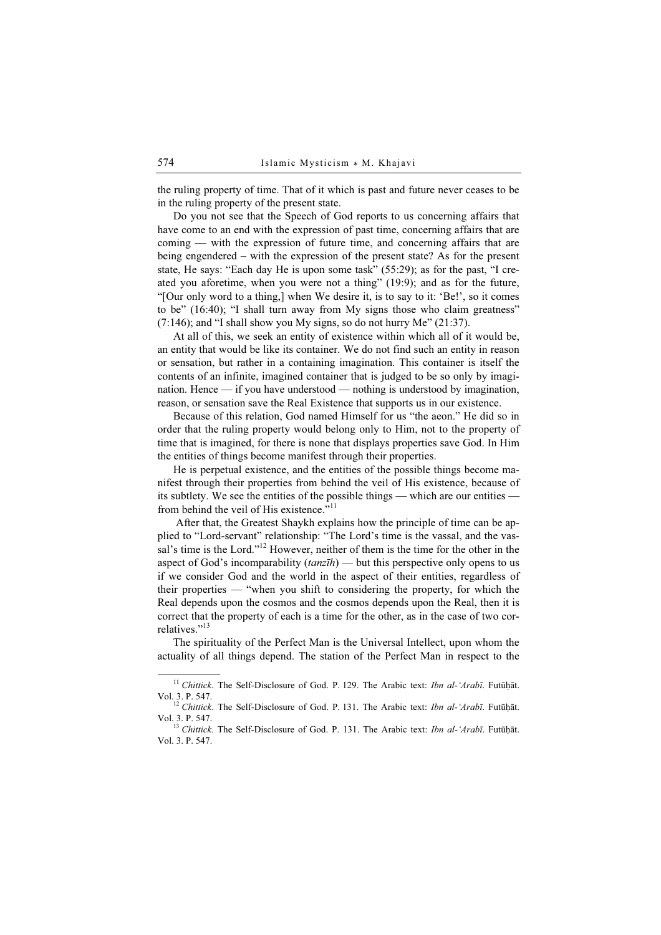the ruling property of time. That of it which is past and future never ceases to be in the ruling property of the present state.

Do you not see that the Speech of God reports to us concerning affairs that have come to an end with the expression of past time, concerning affairs that are coming — with the expression of future time, and concerning affairs that are being engendered – with the expression of the present state? As for the present state, He says: "Each day He is upon some task" (55:29); as for the past, "I created you aforetime, when you were not a thing" (19:9); and as for the future, "[Our only word to a thing,] when We desire it, is to say to it: 'Be!', so it comes to be" (16:40); "I shall turn away from My signs those who claim greatness"  $(7:146)$ ; and "I shall show you My signs, so do not hurry Me"  $(21:37)$ .

At all of this, we seek an entity of existence within which all of it would be, an entity that would be like its container. We do not find such an entity in reason or sensation, but rather in a containing imagination. This container is itself the contents of an infinite, imagined container that is judged to be so only by imagination. Hence — if you have understood — nothing is understood by imagination, reason, or sensation save the Real Existence that supports us in our existence.

Because of this relation, God named Himself for us "the aeon." He did so in order that the ruling property would belong only to Him, not to the property of time that is imagined, for there is none that displays properties save God. In Him the entities of things become manifest through their properties.

He is perpetual existence, and the entities of the possible things become manifest through their properties from behind the veil of His existence, because of its subtlety. We see the entities of the possible things — which are our entities from behind the veil of His existence."<sup>11</sup>

 After that, the Greatest Shaykh explains how the principle of time can be applied to "Lord-servant" relationship: "The Lord's time is the vassal, and the vassal's time is the Lord."<sup>12</sup> However, neither of them is the time for the other in the aspect of God's incomparability  $(tanz\bar{t}h)$  — but this perspective only opens to us if we consider God and the world in the aspect of their entities, regardless of their properties — "when you shift to considering the property, for which the Real depends upon the cosmos and the cosmos depends upon the Real, then it is correct that the property of each is a time for the other, as in the case of two correlatives<sup>"13</sup>

The spirituality of the Perfect Man is the Universal Intellect, upon whom the actuality of all things depend. The station of the Perfect Man in respect to the

<sup>&</sup>lt;sup>11</sup> Chittick. The Self-Disclosure of God. P. 129. The Arabic text: *Ibn al-'Arabī*. Futūḥāt. Vol. 3. P. 547.

<sup>&</sup>lt;sup>12</sup> Chittick. The Self-Disclosure of God. P. 131. The Arabic text: *Ibn al-'Arabī*. Futūḥāt. Vol. 3. P. 547.<br><sup>13</sup> Chittick. The Self-Disclosure of God. P. 131. The Arabic text: *Ibn al-'Arabī*. Futūḥāt.

Vol. 3. P. 547.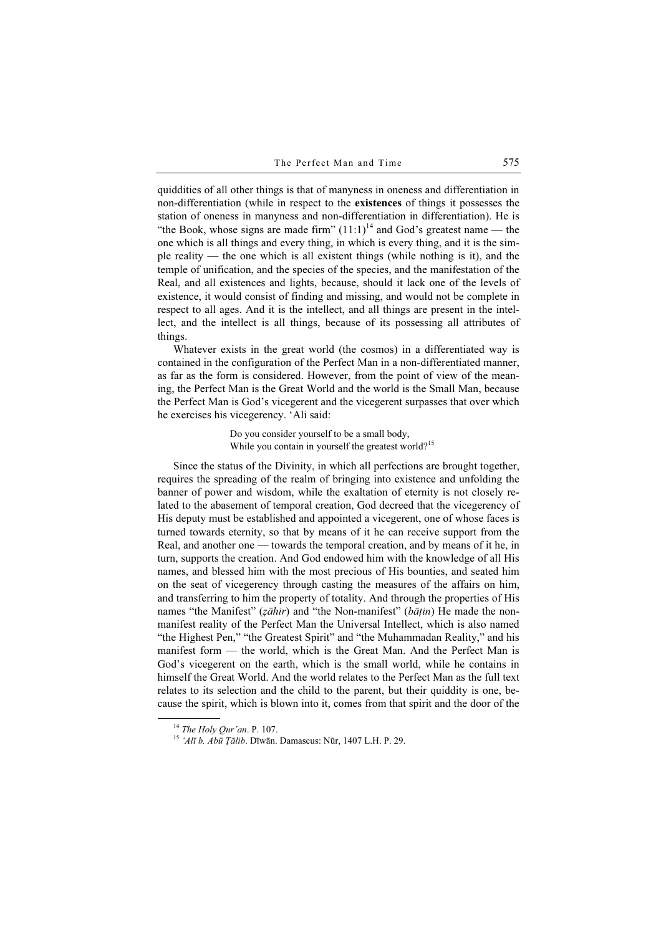quiddities of all other things is that of manyness in oneness and differentiation in non-differentiation (while in respect to the existences of things it possesses the station of oneness in manyness and non-differentiation in differentiation). He is "the Book, whose signs are made firm"  $(11:1)^{14}$  and God's greatest name — the one which is all things and every thing, in which is every thing, and it is the simple reality — the one which is all existent things (while nothing is it), and the temple of unification, and the species of the species, and the manifestation of the Real, and all existences and lights, because, should it lack one of the levels of existence, it would consist of finding and missing, and would not be complete in respect to all ages. And it is the intellect, and all things are present in the intellect, and the intellect is all things, because of its possessing all attributes of things.

Whatever exists in the great world (the cosmos) in a differentiated way is contained in the configuration of the Perfect Man in a non-differentiated manner, as far as the form is considered. However, from the point of view of the meaning, the Perfect Man is the Great World and the world is the Small Man, because the Perfect Man is God's vicegerent and the vicegerent surpasses that over which he exercises his vicegerency. 'Ali said:

> Do you consider yourself to be a small body, While you contain in yourself the greatest world?<sup>15</sup>

Since the status of the Divinity, in which all perfections are brought together, requires the spreading of the realm of bringing into existence and unfolding the banner of power and wisdom, while the exaltation of eternity is not closely related to the abasement of temporal creation, God decreed that the vicegerency of His deputy must be established and appointed a vicegerent, one of whose faces is turned towards eternity, so that by means of it he can receive support from the Real, and another one — towards the temporal creation, and by means of it he, in turn, supports the creation. And God endowed him with the knowledge of all His names, and blessed him with the most precious of His bounties, and seated him on the seat of vicegerency through casting the measures of the affairs on him, and transferring to him the property of totality. And through the properties of His names "the Manifest" (zāhir) and "the Non-manifest" (bāțin) He made the nonmanifest reality of the Perfect Man the Universal Intellect, which is also named "the Highest Pen," "the Greatest Spirit" and "the Muhammadan Reality," and his manifest form — the world, which is the Great Man. And the Perfect Man is God's vicegerent on the earth, which is the small world, while he contains in himself the Great World. And the world relates to the Perfect Man as the full text relates to its selection and the child to the parent, but their quiddity is one, because the spirit, which is blown into it, comes from that spirit and the door of the

<sup>&</sup>lt;sup>14</sup> The Holy Qur'an. P. 107.<br><sup>15</sup> 'Alī b. Abū Tālib. Dīwān. Damascus: Nūr, 1407 L.H. P. 29.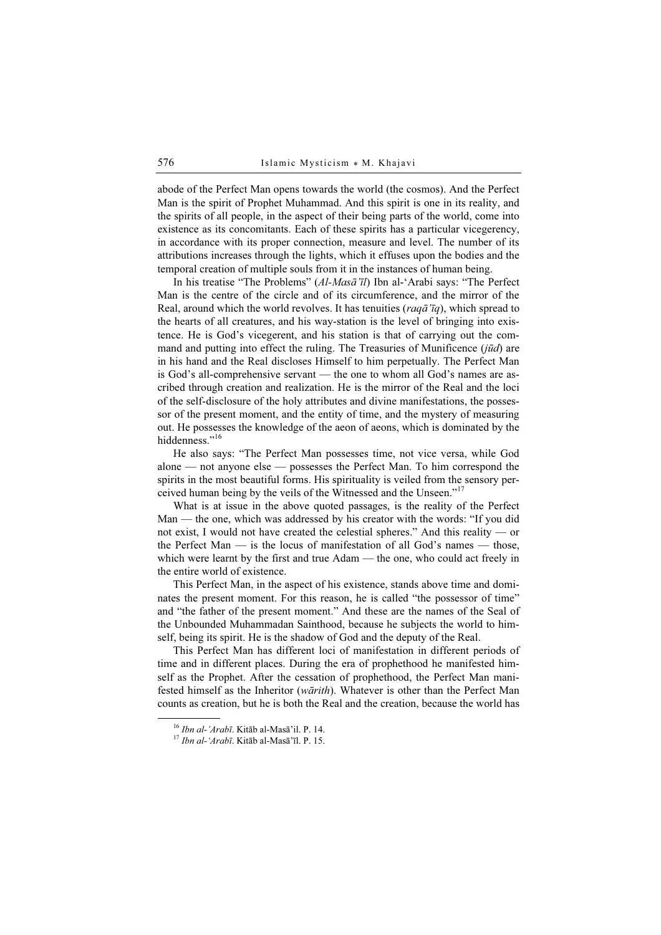abode of the Perfect Man opens towards the world (the cosmos). And the Perfect Man is the spirit of Prophet Muhammad. And this spirit is one in its reality, and the spirits of all people, in the aspect of their being parts of the world, come into existence as its concomitants. Each of these spirits has a particular vicegerency, in accordance with its proper connection, measure and level. The number of its attributions increases through the lights, which it effuses upon the bodies and the temporal creation of multiple souls from it in the instances of human being.

In his treatise "The Problems" (Al-Masā'īl) Ibn al-'Arabi says: "The Perfect Man is the centre of the circle and of its circumference, and the mirror of the Real, around which the world revolves. It has tenuities ( $raq\bar{a}'\bar{q}$ ), which spread to the hearts of all creatures, and his way-station is the level of bringing into existence. He is God's vicegerent, and his station is that of carrying out the command and putting into effect the ruling. The Treasuries of Munificence  $(i\bar{u}d)$  are in his hand and the Real discloses Himself to him perpetually. The Perfect Man is God's all-comprehensive servant — the one to whom all God's names are ascribed through creation and realization. He is the mirror of the Real and the loci of the self-disclosure of the holy attributes and divine manifestations, the possessor of the present moment, and the entity of time, and the mystery of measuring out. He possesses the knowledge of the aeon of aeons, which is dominated by the hiddenness<sup>"16</sup>

He also says: "The Perfect Man possesses time, not vice versa, while God alone — not anyone else — possesses the Perfect Man. To him correspond the spirits in the most beautiful forms. His spirituality is veiled from the sensory perceived human being by the veils of the Witnessed and the Unseen."<sup>17</sup>

What is at issue in the above quoted passages, is the reality of the Perfect Man — the one, which was addressed by his creator with the words: "If you did not exist, I would not have created the celestial spheres." And this reality — or the Perfect Man — is the locus of manifestation of all God's names — those, which were learnt by the first and true Adam — the one, who could act freely in the entire world of existence.

This Perfect Man, in the aspect of his existence, stands above time and dominates the present moment. For this reason, he is called "the possessor of time" and "the father of the present moment." And these are the names of the Seal of the Unbounded Muhammadan Sainthood, because he subjects the world to himself, being its spirit. He is the shadow of God and the deputy of the Real.

This Perfect Man has different loci of manifestation in different periods of time and in different places. During the era of prophethood he manifested himself as the Prophet. After the cessation of prophethood, the Perfect Man manifested himself as the Inheritor (*wārith*). Whatever is other than the Perfect Man counts as creation, but he is both the Real and the creation, because the world has

<sup>&</sup>lt;sup>16</sup> Ibn al-'Arabī. Kitāb al-Masā'il. P. 14.<br><sup>17</sup> Ibn al-'Arabī. Kitāb al-Masā'īl. P. 15.